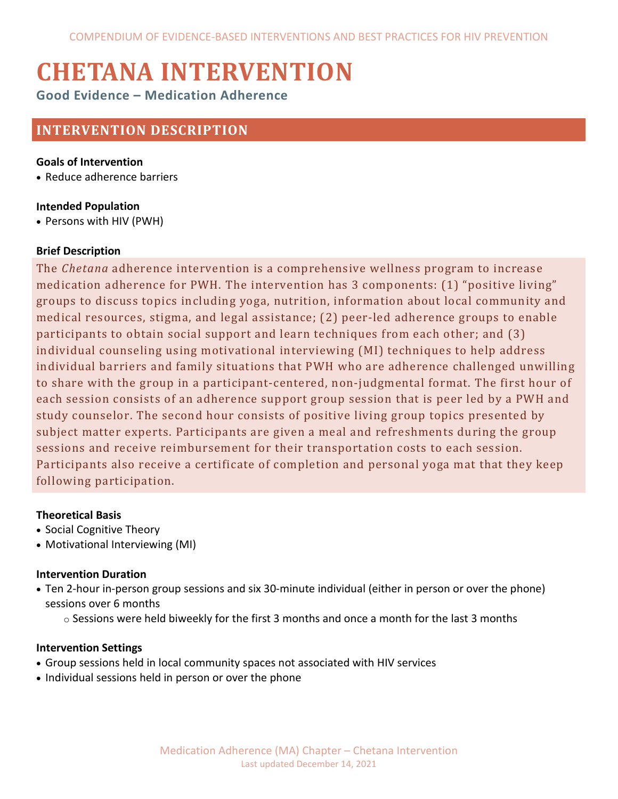# **CHETANA INTERVENTION**

**Good Evidence – Medication Adherence**

# **INTERVENTION DESCRIPTION**

#### **Goals of Intervention**

• Reduce adherence barriers

## **Intended Population**

• Persons with HIV (PWH)

#### **Brief Description**

The *Chetana* adherence intervention is a comprehensive wellness program to increase medication adherence for PWH. The intervention has 3 components: (1) "positive living" groups to discuss topics including yoga, nutrition, information about local community and medical resources, stigma, and legal assistance; (2) peer-led adherence groups to enable participants to obtain social support and learn techniques from each other; and (3) individual counseling using motivational interviewing (MI) techniques to help address individual barriers and family situations that PWH who are adherence challenged unwilling to share with the group in a participant-centered, non-judgmental format. The first hour of each session consists of an adherence support group session that is peer led by a PWH and study counselor. The second hour consists of positive living group topics presented by subject matter experts. Participants are given a meal and refreshments during the group sessions and receive reimbursement for their transportation costs to each session. Participants also receive a certificate of completion and personal yoga mat that they keep following participation.

# **Theoretical Basis**

- Social Cognitive Theory
- Motivational Interviewing (MI)

#### **Intervention Duration**

• Ten 2-hour in-person group sessions and six 30-minute individual (either in person or over the phone) sessions over 6 months

 $\circ$  Sessions were held biweekly for the first 3 months and once a month for the last 3 months

#### **Intervention Settings**

- Group sessions held in local community spaces not associated with HIV services
- Individual sessions held in person or over the phone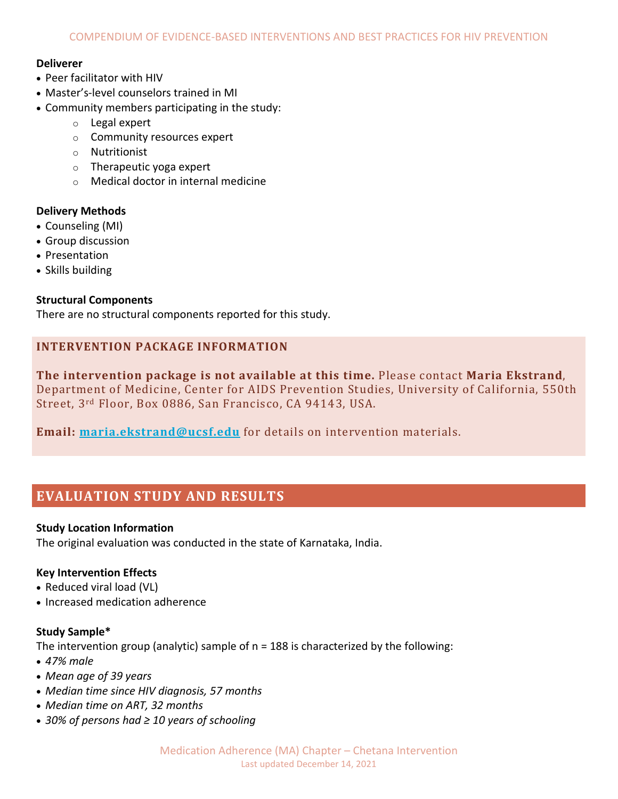#### **Deliverer**

- Peer facilitator with HIV
- Master's-level counselors trained in MI
- Community members participating in the study:
	- o Legal expert
	- o Community resources expert
	- o Nutritionist
	- $\circ$  Therapeutic yoga expert
	- o Medical doctor in internal medicine

#### **Delivery Methods**

- Counseling (MI)
- Group discussion
- Presentation
- Skills building

#### **Structural Components**

There are no structural components reported for this study.

#### **INTERVENTION PACKAGE INFORMATION**

**The intervention package is not available at this time.** Please contact **Maria Ekstrand**, Department of Medicine, Center for AIDS Prevention Studies, University of California, 550th Street, 3rd Floor, Box 0886, San Francisco, CA 94143, USA.

**Email: [maria.ekstrand@ucsf.edu](mailto:maria.ekstrand@ucsf.edu)** for details on intervention materials.

# **EVALUATION STUDY AND RESULTS**

#### **Study Location Information**

The original evaluation was conducted in the state of Karnataka, India.

#### **Key Intervention Effects**

- Reduced viral load (VL)
- Increased medication adherence

#### **Study Sample\***

The intervention group (analytic) sample of  $n = 188$  is characterized by the following:

- *47% male*
- *Mean age of 39 years*
- *Median time since HIV diagnosis, 57 months*
- *Median time on ART, 32 months*
- *30% of persons had ≥ 10 years of schooling*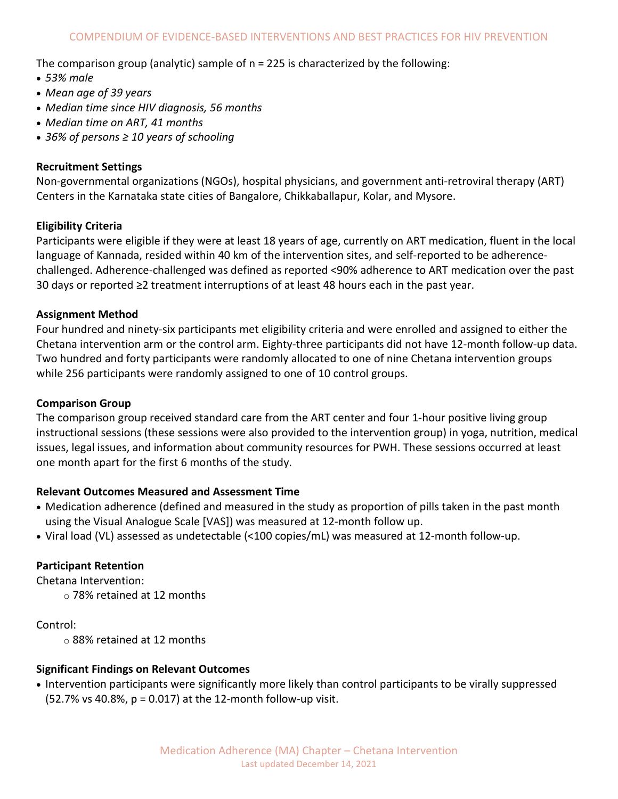The comparison group (analytic) sample of n = 225 is characterized by the following:

- *53% male*
- *Mean age of 39 years*
- *Median time since HIV diagnosis, 56 months*
- *Median time on ART, 41 months*
- *36% of persons ≥ 10 years of schooling*

#### **Recruitment Settings**

Non-governmental organizations (NGOs), hospital physicians, and government anti-retroviral therapy (ART) Centers in the Karnataka state cities of Bangalore, Chikkaballapur, Kolar, and Mysore.

#### **Eligibility Criteria**

Participants were eligible if they were at least 18 years of age, currently on ART medication, fluent in the local language of Kannada, resided within 40 km of the intervention sites, and self-reported to be adherencechallenged. Adherence-challenged was defined as reported <90% adherence to ART medication over the past 30 days or reported ≥2 treatment interruptions of at least 48 hours each in the past year.

#### **Assignment Method**

Four hundred and ninety-six participants met eligibility criteria and were enrolled and assigned to either the Chetana intervention arm or the control arm. Eighty-three participants did not have 12-month follow-up data. Two hundred and forty participants were randomly allocated to one of nine Chetana intervention groups while 256 participants were randomly assigned to one of 10 control groups.

#### **Comparison Group**

The comparison group received standard care from the ART center and four 1-hour positive living group instructional sessions (these sessions were also provided to the intervention group) in yoga, nutrition, medical issues, legal issues, and information about community resources for PWH. These sessions occurred at least one month apart for the first 6 months of the study.

#### **Relevant Outcomes Measured and Assessment Time**

- Medication adherence (defined and measured in the study as proportion of pills taken in the past month using the Visual Analogue Scale [VAS]) was measured at 12-month follow up.
- Viral load (VL) assessed as undetectable (<100 copies/mL) was measured at 12-month follow-up.

#### **Participant Retention**

Chetana Intervention:

o 78% retained at 12 months

Control:

o 88% retained at 12 months

#### **Significant Findings on Relevant Outcomes**

• Intervention participants were significantly more likely than control participants to be virally suppressed (52.7% vs 40.8%, p = 0.017) at the 12-month follow-up visit.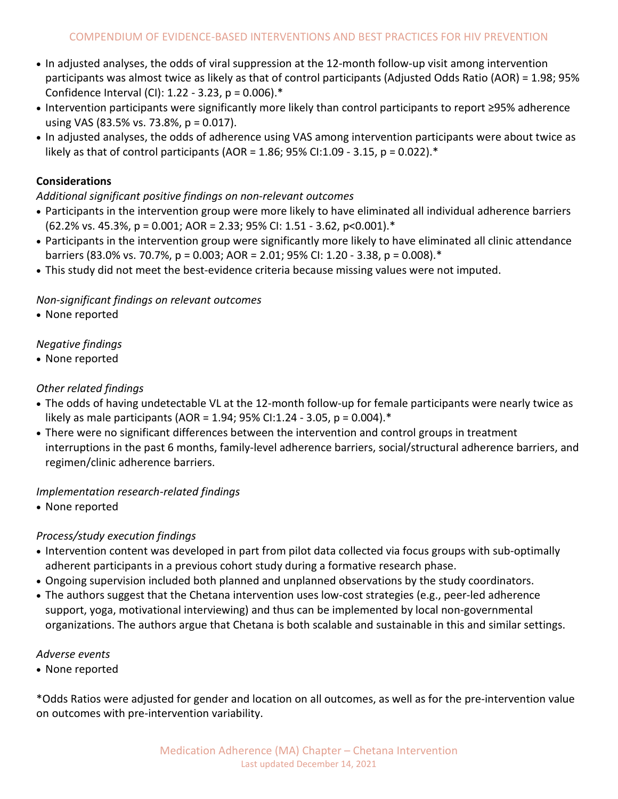- In adjusted analyses, the odds of viral suppression at the 12-month follow-up visit among intervention participants was almost twice as likely as that of control participants (Adjusted Odds Ratio (AOR) = 1.98; 95% Confidence Interval (CI): 1.22 - 3.23, p = 0.006).\*
- Intervention participants were significantly more likely than control participants to report ≥95% adherence using VAS (83.5% vs. 73.8%, p = 0.017).
- In adjusted analyses, the odds of adherence using VAS among intervention participants were about twice as likely as that of control participants (AOR =  $1.86$ ; 95% CI:1.09 - 3.15, p = 0.022). $*$

# **Considerations**

*Additional significant positive findings on non-relevant outcomes* 

- Participants in the intervention group were more likely to have eliminated all individual adherence barriers  $(62.2\% \text{ vs. } 45.3\%, \text{ p} = 0.001; \text{ AOR} = 2.33; 95\% \text{ Cl}: 1.51 - 3.62, \text{ p} < 0.001).$
- Participants in the intervention group were significantly more likely to have eliminated all clinic attendance barriers (83.0% vs. 70.7%, p = 0.003; AOR = 2.01; 95% CI: 1.20 - 3.38, p = 0.008).\*
- This study did not meet the best-evidence criteria because missing values were not imputed.

## *Non-significant findings on relevant outcomes*

• None reported

# *Negative findings*

• None reported

# *Other related findings*

- The odds of having undetectable VL at the 12-month follow-up for female participants were nearly twice as likely as male participants (AOR = 1.94; 95% CI:1.24 - 3.05, p = 0.004). $*$
- There were no significant differences between the intervention and control groups in treatment interruptions in the past 6 months, family-level adherence barriers, social/structural adherence barriers, and regimen/clinic adherence barriers.

#### *Implementation research-related findings*

• None reported

# *Process/study execution findings*

- Intervention content was developed in part from pilot data collected via focus groups with sub-optimally adherent participants in a previous cohort study during a formative research phase.
- Ongoing supervision included both planned and unplanned observations by the study coordinators.
- The authors suggest that the Chetana intervention uses low-cost strategies (e.g., peer-led adherence support, yoga, motivational interviewing) and thus can be implemented by local non-governmental organizations. The authors argue that Chetana is both scalable and sustainable in this and similar settings.

#### *Adverse events*

• None reported

\*Odds Ratios were adjusted for gender and location on all outcomes, as well as for the pre-intervention value on outcomes with pre-intervention variability.